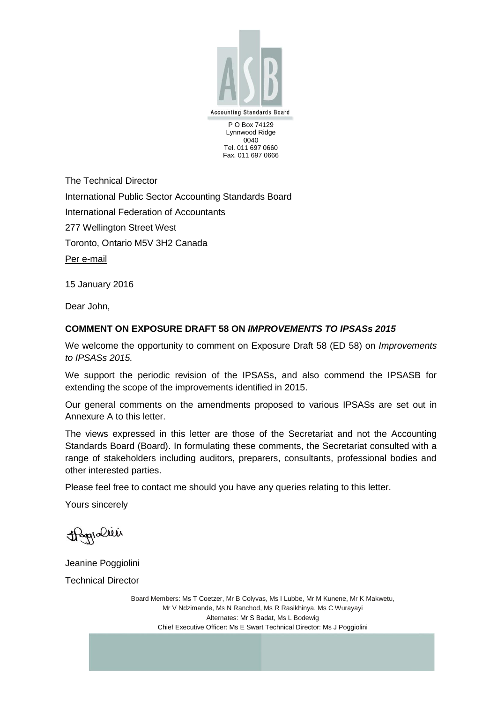

Lynnwood Ridge 0040 Tel. 011 697 0660 Fax. 011 697 0666

The Technical Director International Public Sector Accounting Standards Board International Federation of Accountants 277 Wellington Street West Toronto, Ontario M5V 3H2 Canada Per e-mail

15 January 2016

Dear John,

## **COMMENT ON EXPOSURE DRAFT 58 ON** *IMPROVEMENTS TO IPSASs 2015*

We welcome the opportunity to comment on Exposure Draft 58 (ED 58) on *Improvements to IPSASs 2015.*

We support the periodic revision of the IPSASs, and also commend the IPSASB for extending the scope of the improvements identified in 2015.

Our general comments on the amendments proposed to various IPSASs are set out in Annexure A to this letter.

The views expressed in this letter are those of the Secretariat and not the Accounting Standards Board (Board). In formulating these comments, the Secretariat consulted with a range of stakeholders including auditors, preparers, consultants, professional bodies and other interested parties.

Please feel free to contact me should you have any queries relating to this letter.

Yours sincerely

Hagialier

Jeanine Poggiolini Technical Director

> Board Members: Ms T Coetzer, Mr B Colyvas, Ms I Lubbe, Mr M Kunene, Mr K Makwetu, Mr V Ndzimande, Ms N Ranchod, Ms R Rasikhinya, Ms C Wurayayi Alternates: Mr S Badat, Ms L Bodewig Chief Executive Officer: Ms E Swart Technical Director: Ms J Poggiolini